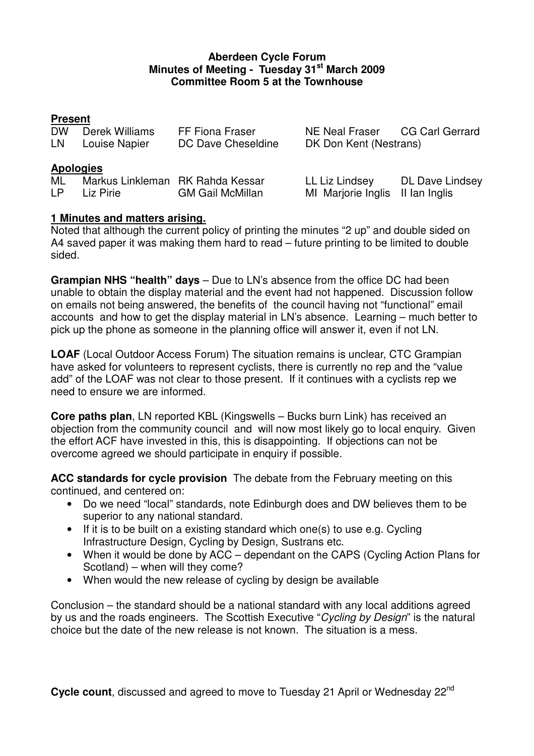### **Aberdeen Cycle Forum Minutes of Meeting - Tuesday 31st March 2009 Committee Room 5 at the Townhouse**

# **Present**

| <b>DW</b><br>LN. | Derek Williams<br>Louise Napier               | FF Fiona Fraser<br>DC Dave Cheseldine | NE Neal Fraser CG Carl Gerrard<br>DK Don Kent (Nestrans) |                        |  |
|------------------|-----------------------------------------------|---------------------------------------|----------------------------------------------------------|------------------------|--|
| <b>Apologies</b> |                                               |                                       |                                                          |                        |  |
| ML<br>LP.        | Markus Linkleman RK Rahda Kessar<br>Liz Pirie | <b>GM Gail McMillan</b>               | LL Liz Lindsey<br>MI Marjorie Inglis II Ian Inglis       | <b>DL Dave Lindsey</b> |  |

# **1 Minutes and matters arising.**

Noted that although the current policy of printing the minutes "2 up" and double sided on A4 saved paper it was making them hard to read – future printing to be limited to double sided.

**Grampian NHS "health" days** – Due to LN's absence from the office DC had been unable to obtain the display material and the event had not happened. Discussion follow on emails not being answered, the benefits of the council having not "functional" email accounts and how to get the display material in LN's absence. Learning – much better to pick up the phone as someone in the planning office will answer it, even if not LN.

**LOAF** (Local Outdoor Access Forum) The situation remains is unclear, CTC Grampian have asked for volunteers to represent cyclists, there is currently no rep and the "value add" of the LOAF was not clear to those present. If it continues with a cyclists rep we need to ensure we are informed.

**Core paths plan**, LN reported KBL (Kingswells – Bucks burn Link) has received an objection from the community council and will now most likely go to local enquiry. Given the effort ACF have invested in this, this is disappointing. If objections can not be overcome agreed we should participate in enquiry if possible.

**ACC standards for cycle provision** The debate from the February meeting on this continued, and centered on:

- Do we need "local" standards, note Edinburgh does and DW believes them to be superior to any national standard.
- If it is to be built on a existing standard which one(s) to use e.g. Cycling Infrastructure Design, Cycling by Design, Sustrans etc.
- When it would be done by ACC dependant on the CAPS (Cycling Action Plans for Scotland) – when will they come?
- When would the new release of cycling by design be available

Conclusion – the standard should be a national standard with any local additions agreed by us and the roads engineers. The Scottish Executive "Cycling by Design" is the natural choice but the date of the new release is not known. The situation is a mess.

Cycle count, discussed and agreed to move to Tuesday 21 April or Wednesday 22<sup>nd</sup>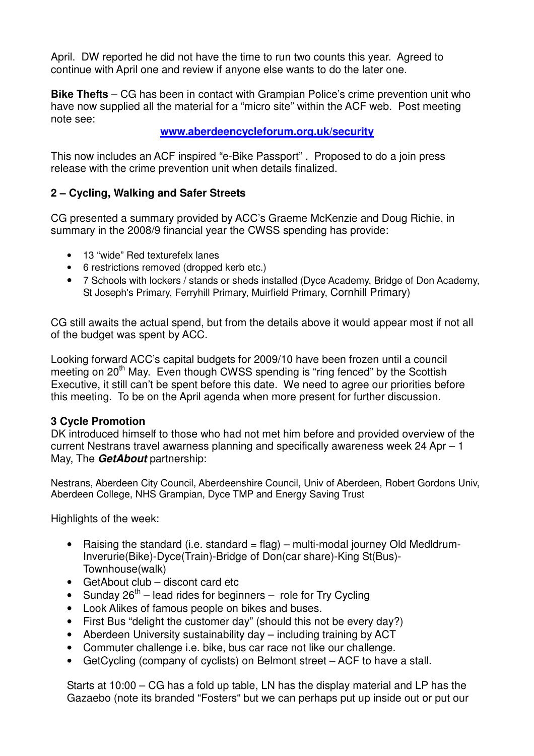April. DW reported he did not have the time to run two counts this year. Agreed to continue with April one and review if anyone else wants to do the later one.

**Bike Thefts** – CG has been in contact with Grampian Police's crime prevention unit who have now supplied all the material for a "micro site" within the ACF web. Post meeting note see:

# **www.aberdeencycleforum.org.uk/security**

This now includes an ACF inspired "e-Bike Passport" . Proposed to do a join press release with the crime prevention unit when details finalized.

# **2 – Cycling, Walking and Safer Streets**

CG presented a summary provided by ACC's Graeme McKenzie and Doug Richie, in summary in the 2008/9 financial year the CWSS spending has provide:

- 13 "wide" Red texturefelx lanes
- 6 restrictions removed (dropped kerb etc.)
- 7 Schools with lockers / stands or sheds installed (Dyce Academy, Bridge of Don Academy, St Joseph's Primary, Ferryhill Primary, Muirfield Primary, Cornhill Primary)

CG still awaits the actual spend, but from the details above it would appear most if not all of the budget was spent by ACC.

Looking forward ACC's capital budgets for 2009/10 have been frozen until a council meeting on 20<sup>th</sup> May. Even though CWSS spending is "ring fenced" by the Scottish Executive, it still can't be spent before this date. We need to agree our priorities before this meeting. To be on the April agenda when more present for further discussion.

#### **3 Cycle Promotion**

DK introduced himself to those who had not met him before and provided overview of the current Nestrans travel awarness planning and specifically awareness week 24 Apr – 1 May, The **GetAbout** partnership:

Nestrans, Aberdeen City Council, Aberdeenshire Council, Univ of Aberdeen, Robert Gordons Univ, Aberdeen College, NHS Grampian, Dyce TMP and Energy Saving Trust

Highlights of the week:

- Raising the standard (i.e. standard  $=$  flag) multi-modal journey Old Medldrum-Inverurie(Bike)-Dyce(Train)-Bridge of Don(car share)-King St(Bus)- Townhouse(walk)
- GetAbout club discont card etc
- Sunday  $26^{th}$  lead rides for beginners role for Try Cycling
- Look Alikes of famous people on bikes and buses.
- First Bus "delight the customer day" (should this not be every day?)
- Aberdeen University sustainability day including training by ACT
- Commuter challenge i.e. bike, bus car race not like our challenge.
- GetCycling (company of cyclists) on Belmont street ACF to have a stall.

Starts at 10:00 – CG has a fold up table, LN has the display material and LP has the Gazaebo (note its branded "Fosters" but we can perhaps put up inside out or put our